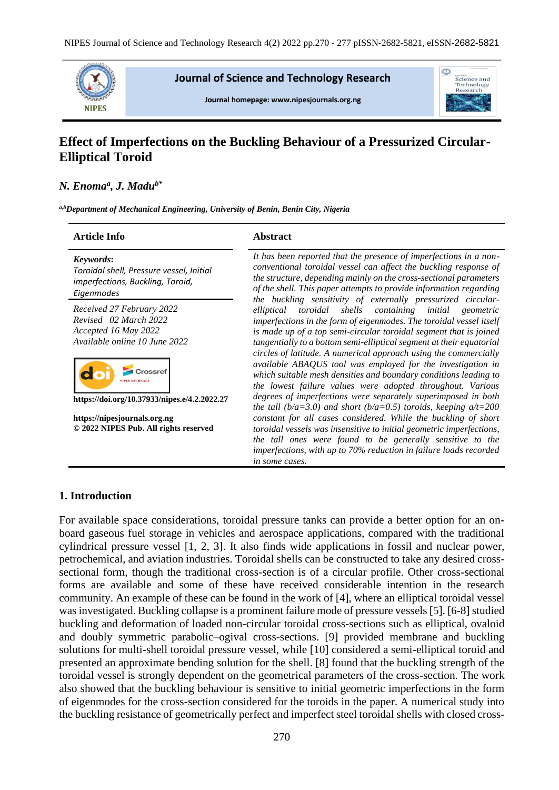

**Journal of Science and Technology Research** 

Journal homepage: www.nipesjournals.org.ng



# **Effect of Imperfections on the Buckling Behaviour of a Pressurized Circular-Elliptical Toroid**

# *N. Enoma<sup>a</sup> , J. Madub\**

*a,bDepartment of Mechanical Engineering, University of Benin, Benin City, Nigeria*

| <b>Article Info</b>                                                                                         | <b>Abstract</b>                                                                                                                                                                                                                                                                                                                                                         |  |  |  |
|-------------------------------------------------------------------------------------------------------------|-------------------------------------------------------------------------------------------------------------------------------------------------------------------------------------------------------------------------------------------------------------------------------------------------------------------------------------------------------------------------|--|--|--|
| Keywords:<br>Toroidal shell, Pressure vessel, Initial<br>imperfections, Buckling, Toroid,<br>Eigenmodes     | It has been reported that the presence of imperfections in a non-<br>conventional toroidal vessel can affect the buckling response of<br>the structure, depending mainly on the cross-sectional parameters<br>of the shell. This paper attempts to provide information regarding                                                                                        |  |  |  |
| Received 27 February 2022<br>Revised 02 March 2022<br>Accepted 16 May 2022<br>Available online 10 June 2022 | the buckling sensitivity of externally pressurized circular-<br>toroidal<br>shells containing initial geometric<br>elliptical<br>imperfections in the form of eigenmodes. The toroidal vessel itself<br>is made up of a top semi-circular toroidal segment that is joined<br>tangentially to a bottom semi-elliptical segment at their equatorial                       |  |  |  |
| https://doi.org/10.37933/nipes.e/4.2.2022.27                                                                | circles of latitude. A numerical approach using the commercially<br>available ABAQUS tool was employed for the investigation in<br>which suitable mesh densities and boundary conditions leading to<br>the lowest failure values were adopted throughout. Various<br>degrees of imperfections were separately superimposed in both                                      |  |  |  |
| https://nipesjournals.org.ng<br>© 2022 NIPES Pub. All rights reserved                                       | the tall ( $b/a=3.0$ ) and short ( $b/a=0.5$ ) toroids, keeping $a/t=200$<br>constant for all cases considered. While the buckling of short<br>toroidal vessels was insensitive to initial geometric imperfections,<br>the tall ones were found to be generally sensitive to the<br>imperfections, with up to 70% reduction in failure loads recorded<br>in some cases. |  |  |  |

# **1. Introduction**

For available space considerations, toroidal pressure tanks can provide a better option for an onboard gaseous fuel storage in vehicles and aerospace applications, compared with the traditional cylindrical pressure vessel [1, 2, 3]. It also finds wide applications in fossil and nuclear power, petrochemical, and aviation industries. Toroidal shells can be constructed to take any desired crosssectional form, though the traditional cross-section is of a circular profile. Other cross-sectional forms are available and some of these have received considerable intention in the research community. An example of these can be found in the work of [4], where an elliptical toroidal vessel was investigated. Buckling collapse is a prominent failure mode of pressure vessels [5]. [6-8] studied buckling and deformation of loaded non-circular toroidal cross-sections such as elliptical, ovaloid and doubly symmetric parabolic–ogival cross-sections. [9] provided membrane and buckling solutions for multi-shell toroidal pressure vessel, while [10] considered a semi-elliptical toroid and presented an approximate bending solution for the shell. [8] found that the buckling strength of the toroidal vessel is strongly dependent on the geometrical parameters of the cross-section. The work also showed that the buckling behaviour is sensitive to initial geometric imperfections in the form of eigenmodes for the cross-section considered for the toroids in the paper. A numerical study into the buckling resistance of geometrically perfect and imperfect steel toroidal shells with closed cross-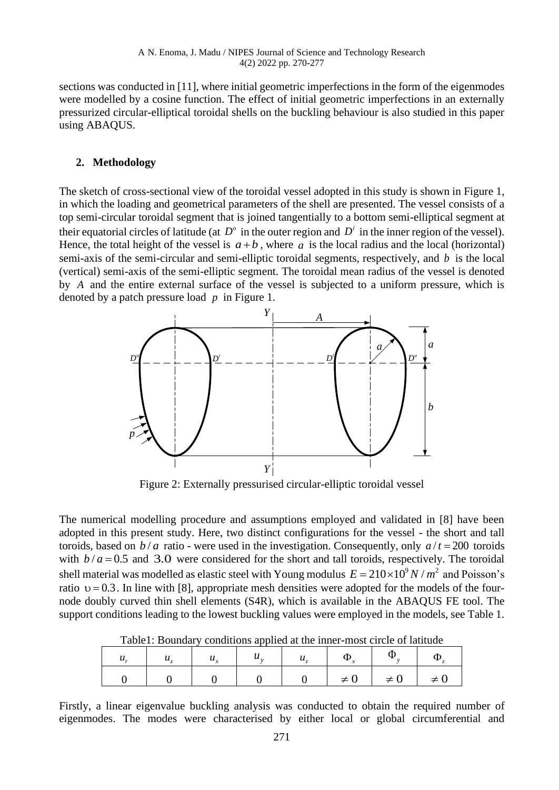sections was conducted in [11], where initial geometric imperfections in the form of the eigenmodes were modelled by a cosine function. The effect of initial geometric imperfections in an externally pressurized circular-elliptical toroidal shells on the buckling behaviour is also studied in this paper using ABAQUS.

#### **2. Methodology**

The sketch of cross-sectional view of the toroidal vessel adopted in this study is shown in Figure 1, in which the loading and geometrical parameters of the shell are presented. The vessel consists of a top semi-circular toroidal segment that is joined tangentially to a bottom semi-elliptical segment at their equatorial circles of latitude (at  $D^{\circ}$  in the outer region and  $D^i$  in the inner region of the vessel). Hence, the total height of the vessel is  $a + b$ , where a is the local radius and the local (horizontal) semi-axis of the semi-circular and semi-elliptic toroidal segments, respectively, and *b* is the local (vertical) semi-axis of the semi-elliptic segment. The toroidal mean radius of the vessel is denoted by *A* and the entire external surface of the vessel is subjected to a uniform pressure, which is denoted by a patch pressure load *p* in Figure 1.



Figure 2: Externally pressurised circular-elliptic toroidal vessel

The numerical modelling procedure and assumptions employed and validated in [8] have been adopted in this present study. Here, two distinct configurations for the vessel - the short and tall toroids, based on  $b/a$  ratio - were used in the investigation. Consequently, only  $a/t = 200$  toroids with  $b/a = 0.5$  and 3.0 were considered for the short and tall toroids, respectively. The toroidal shell material was modelled as elastic steel with Young modulus  $E = 210 \times 10^9 N / m^2$  and Poisson's ratio  $v = 0.3$ . In line with [8], appropriate mesh densities were adopted for the models of the fournode doubly curved thin shell elements (S4R), which is available in the ABAQUS FE tool. The support conditions leading to the lowest buckling values were employed in the models, see Table 1.

| $u_{\cdot}$ | $u_{\tau}$ | $\begin{vmatrix} u_x & \cdots & u_y \end{vmatrix}$ $u_y$ $\begin{vmatrix} u_z & \cdots & u_z \end{vmatrix}$ $\Phi_y$ |  |                                 | $\Phi$ . |
|-------------|------------|----------------------------------------------------------------------------------------------------------------------|--|---------------------------------|----------|
|             |            |                                                                                                                      |  | $0 \neq 0 \neq 0 \neq 0 \neq 0$ |          |

Table1: Boundary conditions applied at the inner-most circle of latitude

Firstly, a linear eigenvalue buckling analysis was conducted to obtain the required number of eigenmodes. The modes were characterised by either local or global circumferential and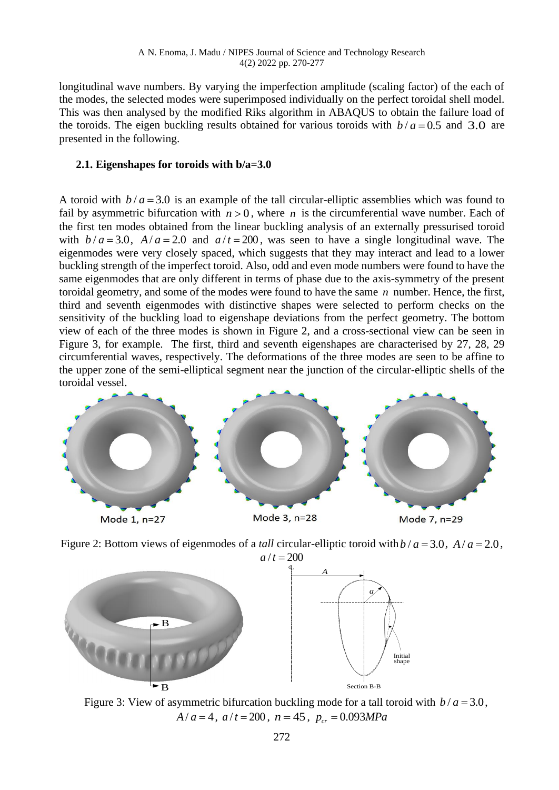longitudinal wave numbers. By varying the imperfection amplitude (scaling factor) of the each of the modes, the selected modes were superimposed individually on the perfect toroidal shell model. This was then analysed by the modified Riks algorithm in ABAQUS to obtain the failure load of the toroids. The eigen buckling results obtained for various toroids with  $b/a = 0.5$  and 3.0 are presented in the following.

# **2.1. Eigenshapes for toroids with b/a=3.0**

A toroid with  $b/a = 3.0$  is an example of the tall circular-elliptic assemblies which was found to fail by asymmetric bifurcation with  $n > 0$ , where *n* is the circumferential wave number. Each of the first ten modes obtained from the linear buckling analysis of an externally pressurised toroid with  $b/a = 3.0$ ,  $A/a = 2.0$  and  $a/t = 200$ , was seen to have a single longitudinal wave. The eigenmodes were very closely spaced, which suggests that they may interact and lead to a lower buckling strength of the imperfect toroid. Also, odd and even mode numbers were found to have the same eigenmodes that are only different in terms of phase due to the axis-symmetry of the present toroidal geometry, and some of the modes were found to have the same *n* number. Hence, the first, third and seventh eigenmodes with distinctive shapes were selected to perform checks on the sensitivity of the buckling load to eigenshape deviations from the perfect geometry. The bottom view of each of the three modes is shown in Figure 2, and a cross-sectional view can be seen in Figure 3, for example. The first, third and seventh eigenshapes are characterised by 27, 28, 29 circumferential waves, respectively. The deformations of the three modes are seen to be affine to the upper zone of the semi-elliptical segment near the junction of the circular-elliptic shells of the toroidal vessel.





Figure 2: Bottom views of eigenmodes of a *tall* circular-elliptic toroid with  $b/a = 3.0$ ,  $A/a = 2.0$ ,

Figure 3: View of asymmetric bifurcation buckling mode for a tall toroid with  $b/a = 3.0$ ,  $A/a = 4$ ,  $a/t = 200$ ,  $n = 45$ ,  $p_{cr} = 0.093 MPa$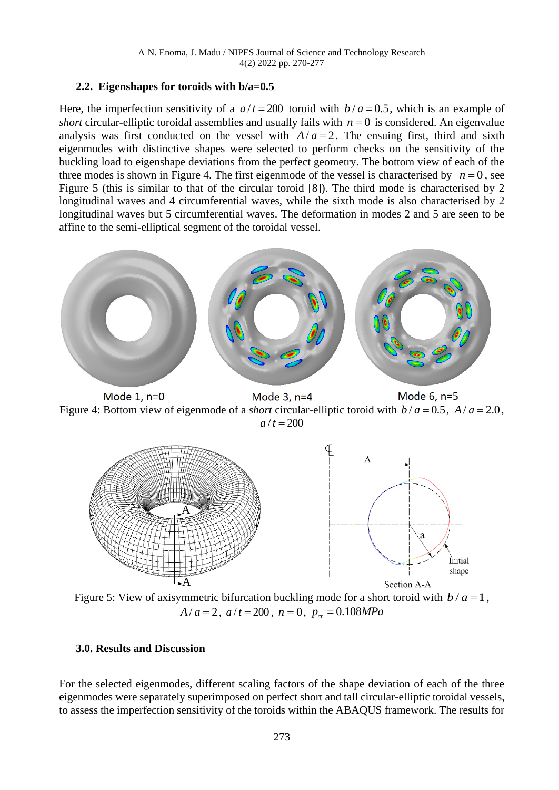#### **2.2. Eigenshapes for toroids with b/a=0.5**

Here, the imperfection sensitivity of a  $a/t = 200$  toroid with  $b/a = 0.5$ , which is an example of *short* circular-elliptic toroidal assemblies and usually fails with  $n = 0$  is considered. An eigenvalue analysis was first conducted on the vessel with  $A/a = 2$ . The ensuing first, third and sixth eigenmodes with distinctive shapes were selected to perform checks on the sensitivity of the buckling load to eigenshape deviations from the perfect geometry. The bottom view of each of the three modes is shown in Figure 4. The first eigenmode of the vessel is characterised by  $n = 0$ , see Figure 5 (this is similar to that of the circular toroid [8]). The third mode is characterised by 2 longitudinal waves and 4 circumferential waves, while the sixth mode is also characterised by 2 longitudinal waves but 5 circumferential waves. The deformation in modes 2 and 5 are seen to be affine to the semi-elliptical segment of the toroidal vessel.



Mode 6, n=5 Mode 1, n=0 Mode 3, n=4 Figure 4: Bottom view of eigenmode of a *short* circular-elliptic toroid with  $b/a = 0.5$ ,  $A/a = 2.0$ ,  $a/t = 200$ 



Figure 5: View of axisymmetric bifurcation buckling mode for a short toroid with  $b/a = 1$ ,  $A/a = 2$ ,  $a/t = 200$ ,  $n = 0$ ,  $p_{cr} = 0.108 MPa$ 

# **3.0. Results and Discussion**

For the selected eigenmodes, different scaling factors of the shape deviation of each of the three eigenmodes were separately superimposed on perfect short and tall circular-elliptic toroidal vessels, to assess the imperfection sensitivity of the toroids within the ABAQUS framework. The results for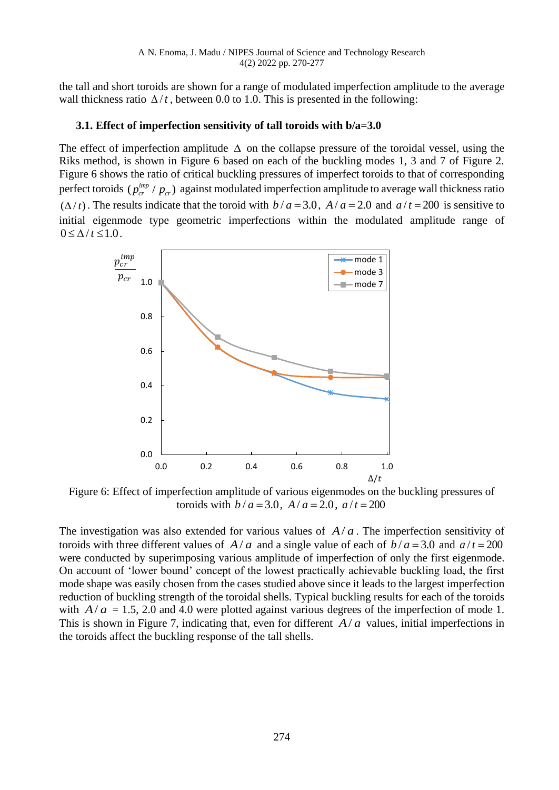the tall and short toroids are shown for a range of modulated imperfection amplitude to the average wall thickness ratio  $\Delta/t$ , between 0.0 to 1.0. This is presented in the following:

# **3.1. Effect of imperfection sensitivity of tall toroids with b/a=3.0**

The effect of imperfection amplitude  $\Delta$  on the collapse pressure of the toroidal vessel, using the Riks method, is shown in Figure 6 based on each of the buckling modes 1, 3 and 7 of Figure 2. Figure 6 shows the ratio of critical buckling pressures of imperfect toroids to that of corresponding perfect toroids  $(p_{cr}^{imp}/p_{cr})$  against modulated imperfection amplitude to average wall thickness ratio  $(\Delta/t)$ . The results indicate that the toroid with  $b/a = 3.0$ ,  $A/a = 2.0$  and  $a/t = 200$  is sensitive to initial eigenmode type geometric imperfections within the modulated amplitude range of  $0 \leq \Lambda / t \leq 1.0$ .



Figure 6: Effect of imperfection amplitude of various eigenmodes on the buckling pressures of toroids with  $b/a = 3.0$ ,  $A/a = 2.0$ ,  $a/t = 200$ 

The investigation was also extended for various values of  $A/a$ . The imperfection sensitivity of toroids with three different values of  $A/a$  and a single value of each of  $b/a = 3.0$  and  $a/t = 200$ were conducted by superimposing various amplitude of imperfection of only the first eigenmode. On account of 'lower bound' concept of the lowest practically achievable buckling load, the first mode shape was easily chosen from the cases studied above since it leads to the largest imperfection reduction of buckling strength of the toroidal shells. Typical buckling results for each of the toroids with  $A/a = 1.5$ , 2.0 and 4.0 were plotted against various degrees of the imperfection of mode 1. This is shown in Figure 7, indicating that, even for different  $A/a$  values, initial imperfections in the toroids affect the buckling response of the tall shells.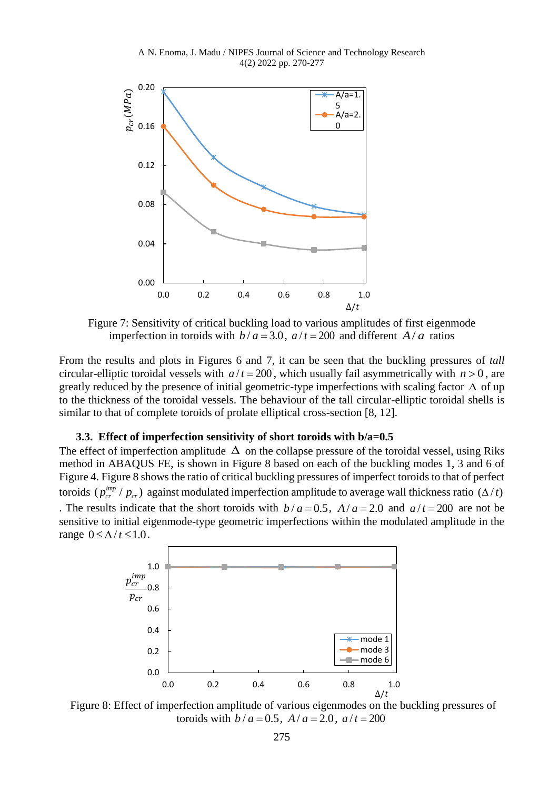A N. Enoma, J. Madu / NIPES Journal of Science and Technology Research 4(2) 2022 pp. 270-277



Figure 7: Sensitivity of critical buckling load to various amplitudes of first eigenmode imperfection in toroids with  $b/a = 3.0$ ,  $a/t = 200$  and different  $A/a$  ratios

From the results and plots in Figures 6 and 7, it can be seen that the buckling pressures of *tall* circular-elliptic toroidal vessels with  $a/t = 200$ , which usually fail asymmetrically with  $n > 0$ , are greatly reduced by the presence of initial geometric-type imperfections with scaling factor  $\Delta$  of up to the thickness of the toroidal vessels. The behaviour of the tall circular-elliptic toroidal shells is similar to that of complete toroids of prolate elliptical cross-section [8, 12].

#### **3.3. Effect of imperfection sensitivity of short toroids with b/a=0.5**

The effect of imperfection amplitude  $\Delta$  on the collapse pressure of the toroidal vessel, using Riks method in ABAQUS FE, is shown in Figure 8 based on each of the buckling modes 1, 3 and 6 of Figure 4. Figure 8 shows the ratio of critical buckling pressures of imperfect toroids to that of perfect toroids  $(p_{cr}^{imp}/p_{cr})$  against modulated imperfection amplitude to average wall thickness ratio  $(\Delta/t)$ . The results indicate that the short toroids with  $b/a = 0.5$ ,  $A/a = 2.0$  and  $a/t = 200$  are not be sensitive to initial eigenmode-type geometric imperfections within the modulated amplitude in the range  $0 \leq \Delta / t \leq 1.0$ .



Figure 8: Effect of imperfection amplitude of various eigenmodes on the buckling pressures of toroids with  $b/a = 0.5$ ,  $A/a = 2.0$ ,  $a/t = 200$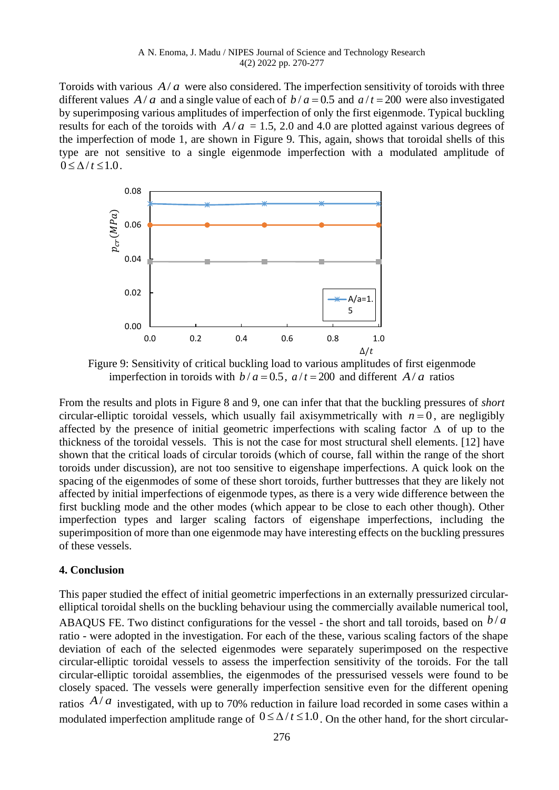Toroids with various  $A/a$  were also considered. The imperfection sensitivity of toroids with three different values  $A/a$  and a single value of each of  $b/a = 0.5$  and  $a/t = 200$  were also investigated by superimposing various amplitudes of imperfection of only the first eigenmode. Typical buckling results for each of the toroids with  $A/a = 1.5$ , 2.0 and 4.0 are plotted against various degrees of the imperfection of mode 1, are shown in Figure 9. This, again, shows that toroidal shells of this type are not sensitive to a single eigenmode imperfection with a modulated amplitude of  $0 \leq \Delta / t \leq 1.0$ .



Figure 9: Sensitivity of critical buckling load to various amplitudes of first eigenmode imperfection in toroids with  $b/a = 0.5$ ,  $a/t = 200$  and different  $A/a$  ratios

From the results and plots in Figure 8 and 9, one can infer that that the buckling pressures of *short* circular-elliptic toroidal vessels, which usually fail axisymmetrically with  $n = 0$ , are negligibly affected by the presence of initial geometric imperfections with scaling factor  $\Delta$  of up to the thickness of the toroidal vessels. This is not the case for most structural shell elements. [12] have shown that the critical loads of circular toroids (which of course, fall within the range of the short toroids under discussion), are not too sensitive to eigenshape imperfections. A quick look on the spacing of the eigenmodes of some of these short toroids, further buttresses that they are likely not affected by initial imperfections of eigenmode types, as there is a very wide difference between the first buckling mode and the other modes (which appear to be close to each other though). Other imperfection types and larger scaling factors of eigenshape imperfections, including the superimposition of more than one eigenmode may have interesting effects on the buckling pressures of these vessels.

#### **4. Conclusion**

This paper studied the effect of initial geometric imperfections in an externally pressurized circularelliptical toroidal shells on the buckling behaviour using the commercially available numerical tool, ABAQUS FE. Two distinct configurations for the vessel - the short and tall toroids, based on  $b/a$ ratio - were adopted in the investigation. For each of the these, various scaling factors of the shape deviation of each of the selected eigenmodes were separately superimposed on the respective circular-elliptic toroidal vessels to assess the imperfection sensitivity of the toroids. For the tall circular-elliptic toroidal assemblies, the eigenmodes of the pressurised vessels were found to be closely spaced. The vessels were generally imperfection sensitive even for the different opening ratios  $A/a$  investigated, with up to 70% reduction in failure load recorded in some cases within a modulated imperfection amplitude range of  $0 \le \Delta / t \le 1.0$ . On the other hand, for the short circular